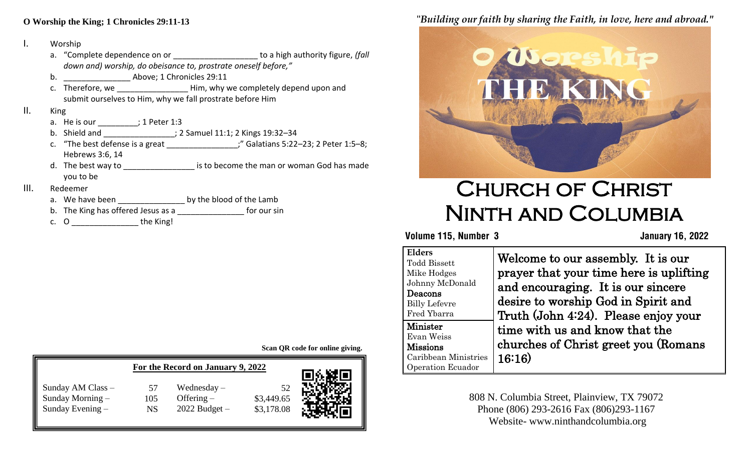#### **A O Worship the King; 1 Chronicles 29:11-13**

#### I. Worship

- abwn di<br>. a. "Complete dependence on or **with all all all all in the set of the set of the set of the set of the set of the set of the set of the set of the set of the set of the set of the set of the set of the set of the set of th** *down and) worship, do obeisance to, prostrate oneself before,"*
- $b.$   $\qquad \qquad$  Above; 1 Chronicles 29:11
- c. Therefore, we \_\_\_\_\_\_\_\_\_\_\_\_\_\_\_\_\_\_\_\_\_Him, why we completely depend upon and submit ourselves to Him, why we fall prostrate before Him

#### II. King

- a. He is our \_\_\_\_\_\_\_\_; 1 Peter 1:3
- b. Shield and \_\_\_\_\_\_\_\_\_\_\_\_\_\_\_\_; 2 Samuel 11:1; 2 Kings 19:32–34
- c. "The best defense is a great \_\_\_\_\_\_\_\_\_\_\_\_\_\_\_\_;" Galatians 5:22–23; 2 Peter 1:5–8; Hebrews 3:6, 14
- d. The best way to \_\_\_\_\_\_\_\_\_\_\_\_\_\_\_\_\_\_\_\_\_ is to become the man or woman God has made you to be

#### III. Redeemer

- a. We have been by the blood of the Lamb
- b. The King has offered Jesus as a \_\_\_\_\_\_\_\_\_\_\_\_\_\_ for our sin
- c. O \_\_\_\_\_\_\_\_\_\_\_\_\_\_\_ the King!

**Scan QR code for online giving.**

|                                                             | For the Record on January 9, 2022 |                                                    |                          |      |
|-------------------------------------------------------------|-----------------------------------|----------------------------------------------------|--------------------------|------|
| Sunday AM Class -<br>Sunday Morning $-$<br>Sunday Evening - | 57<br>105<br><b>NS</b>            | Wednesday $-$<br>Offering $-$<br>$2022$ Budget $-$ | \$3,449.65<br>\$3,178.08 | 回然缺回 |

## "*Building our faith by sharing the Faith, in love, here and abroad."*



# Church of Christ Ninth and Columbia

#### **Volume 115, Number 3 January 16, 2022**

| <b>Elders</b><br><b>Todd Bissett</b><br>Mike Hodges<br>Johnny McDonald<br>Deacons<br><b>Billy Lefevre</b><br>Fred Ybarra | Welcome to our assembly. It is our<br>prayer that your time here is uplifting<br>and encouraging. It is our sincere<br>desire to worship God in Spirit and<br>Truth (John 4:24). Please enjoy your |
|--------------------------------------------------------------------------------------------------------------------------|----------------------------------------------------------------------------------------------------------------------------------------------------------------------------------------------------|
| Minister<br>Evan Weiss<br><b>Missions</b><br>Caribbean Ministries<br><b>Operation Ecuador</b>                            | time with us and know that the<br>churches of Christ greet you (Romans<br>16:16)                                                                                                                   |

808 N. Columbia Street, Plainview, TX 79072 Phone (806) 293-2616 Fax (806)293-1167 Website- www.ninthandcolumbia.org